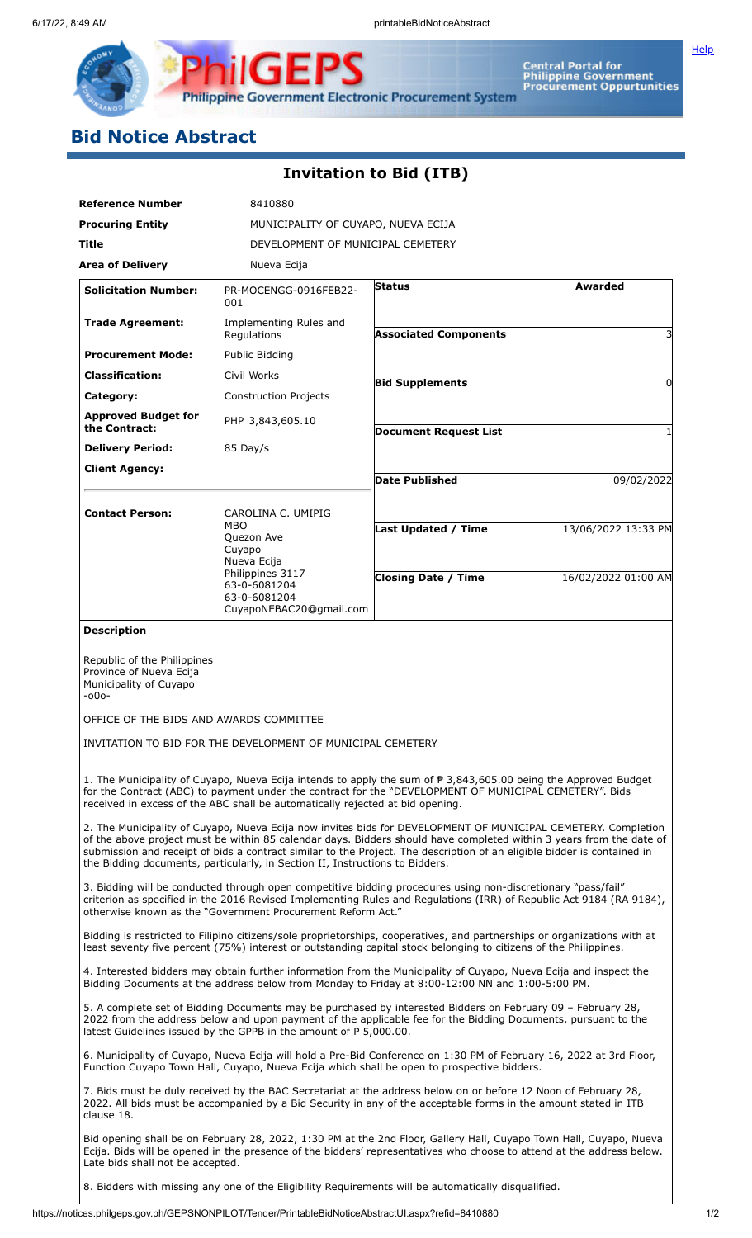

Central Portal for<br>Philippine Government<br>Procurement Oppurtunities **Philippine Government Electronic Procurement System** 

## **Bid Notice Abstract**

₽

## **Invitation to Bid (ITB)**

PS

IGEI

| <b>Reference Number</b>                                                                                                                                                                                                                                                                                                                                                                                                                         | 8410880                                                                                     |                                     |                     |  |
|-------------------------------------------------------------------------------------------------------------------------------------------------------------------------------------------------------------------------------------------------------------------------------------------------------------------------------------------------------------------------------------------------------------------------------------------------|---------------------------------------------------------------------------------------------|-------------------------------------|---------------------|--|
| <b>Procuring Entity</b>                                                                                                                                                                                                                                                                                                                                                                                                                         |                                                                                             | MUNICIPALITY OF CUYAPO, NUEVA ECIJA |                     |  |
| <b>Title</b>                                                                                                                                                                                                                                                                                                                                                                                                                                    |                                                                                             | DEVELOPMENT OF MUNICIPAL CEMETERY   |                     |  |
| <b>Area of Delivery</b>                                                                                                                                                                                                                                                                                                                                                                                                                         | Nueva Ecija                                                                                 |                                     |                     |  |
| <b>Solicitation Number:</b>                                                                                                                                                                                                                                                                                                                                                                                                                     | PR-MOCENGG-0916FEB22-<br>001                                                                | <b>Status</b>                       | Awarded             |  |
| <b>Trade Agreement:</b>                                                                                                                                                                                                                                                                                                                                                                                                                         | Implementing Rules and<br>Regulations                                                       | <b>Associated Components</b>        |                     |  |
| <b>Procurement Mode:</b>                                                                                                                                                                                                                                                                                                                                                                                                                        | Public Bidding                                                                              |                                     |                     |  |
| <b>Classification:</b>                                                                                                                                                                                                                                                                                                                                                                                                                          | Civil Works                                                                                 | <b>Bid Supplements</b>              | 0                   |  |
| Category:                                                                                                                                                                                                                                                                                                                                                                                                                                       | <b>Construction Projects</b>                                                                |                                     |                     |  |
| <b>Approved Budget for</b><br>the Contract:                                                                                                                                                                                                                                                                                                                                                                                                     | PHP 3,843,605.10                                                                            | <b>Document Request List</b>        |                     |  |
| <b>Delivery Period:</b>                                                                                                                                                                                                                                                                                                                                                                                                                         | 85 Day/s                                                                                    |                                     |                     |  |
| <b>Client Agency:</b>                                                                                                                                                                                                                                                                                                                                                                                                                           |                                                                                             |                                     |                     |  |
|                                                                                                                                                                                                                                                                                                                                                                                                                                                 |                                                                                             | <b>Date Published</b>               | 09/02/2022          |  |
| <b>Contact Person:</b>                                                                                                                                                                                                                                                                                                                                                                                                                          | CAROLINA C. UMIPIG<br><b>MBO</b><br>Quezon Ave<br>Cuyapo<br>Nueva Ecija<br>Philippines 3117 | Last Updated / Time                 | 13/06/2022 13:33 PM |  |
|                                                                                                                                                                                                                                                                                                                                                                                                                                                 | 63-0-6081204<br>63-0-6081204<br>CuyapoNEBAC20@gmail.com                                     | <b>Closing Date / Time</b>          | 16/02/2022 01:00 AM |  |
| <b>Description</b>                                                                                                                                                                                                                                                                                                                                                                                                                              |                                                                                             |                                     |                     |  |
| $-000-$<br>OFFICE OF THE BIDS AND AWARDS COMMITTEE<br>INVITATION TO BID FOR THE DEVELOPMENT OF MUNICIPAL CEMETERY                                                                                                                                                                                                                                                                                                                               |                                                                                             |                                     |                     |  |
| 1. The Municipality of Cuyapo, Nueva Ecija intends to apply the sum of $\overline{P}$ 3,843,605.00 being the Approved Budget<br>for the Contract (ABC) to payment under the contract for the "DEVELOPMENT OF MUNICIPAL CEMETERY". Bids<br>received in excess of the ABC shall be automatically rejected at bid opening.                                                                                                                         |                                                                                             |                                     |                     |  |
| 2. The Municipality of Cuyapo, Nueva Ecija now invites bids for DEVELOPMENT OF MUNICIPAL CEMETERY. Completion<br>of the above project must be within 85 calendar days. Bidders should have completed within 3 years from the date of<br>submission and receipt of bids a contract similar to the Project. The description of an eligible bidder is contained in<br>the Bidding documents, particularly, in Section II, Instructions to Bidders. |                                                                                             |                                     |                     |  |
| 3. Bidding will be conducted through open competitive bidding procedures using non-discretionary "pass/fail"<br>criterion as specified in the 2016 Revised Implementing Rules and Regulations (IRR) of Republic Act 9184 (RA 9184),<br>otherwise known as the "Government Procurement Reform Act."                                                                                                                                              |                                                                                             |                                     |                     |  |
| Bidding is restricted to Filipino citizens/sole proprietorships, cooperatives, and partnerships or organizations with at<br>least seventy five percent (75%) interest or outstanding capital stock belonging to citizens of the Philippines.                                                                                                                                                                                                    |                                                                                             |                                     |                     |  |
| 4. Interested bidders may obtain further information from the Municipality of Cuyapo, Nueva Ecija and inspect the<br>Bidding Documents at the address below from Monday to Friday at 8:00-12:00 NN and 1:00-5:00 PM.                                                                                                                                                                                                                            |                                                                                             |                                     |                     |  |
| 5. A complete set of Bidding Documents may be purchased by interested Bidders on February 09 - February 28,<br>2022 from the address below and upon payment of the applicable fee for the Bidding Documents, pursuant to the<br>latest Guidelines issued by the GPPB in the amount of P 5,000.00.                                                                                                                                               |                                                                                             |                                     |                     |  |
| 6. Municipality of Cuyapo, Nueva Ecija will hold a Pre-Bid Conference on 1:30 PM of February 16, 2022 at 3rd Floor,<br>Function Cuyapo Town Hall, Cuyapo, Nueva Ecija which shall be open to prospective bidders.                                                                                                                                                                                                                               |                                                                                             |                                     |                     |  |
| 7. Bids must be duly received by the BAC Secretariat at the address below on or before 12 Noon of February 28,<br>2022. All bids must be accompanied by a Bid Security in any of the acceptable forms in the amount stated in ITB<br>clause 18.                                                                                                                                                                                                 |                                                                                             |                                     |                     |  |
| Bid opening shall be on February 28, 2022, 1:30 PM at the 2nd Floor, Gallery Hall, Cuyapo Town Hall, Cuyapo, Nueva<br>Ecija. Bids will be opened in the presence of the bidders' representatives who choose to attend at the address below.<br>Late bids shall not be accepted.                                                                                                                                                                 |                                                                                             |                                     |                     |  |

8. Bidders with missing any one of the Eligibility Requirements will be automatically disqualified.